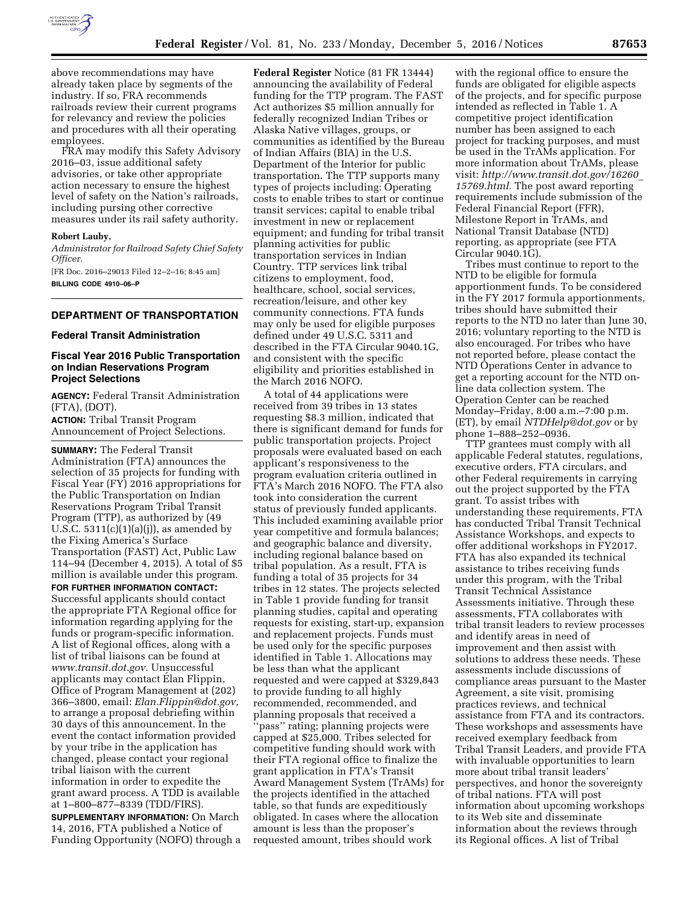

already taken place by segments of the industry. If so, FRA recommends railroads review their current programs for relevancy and review the policies and procedures with all their operating employees.

FRA may modify this Safety Advisory 2016–03, issue additional safety advisories, or take other appropriate action necessary to ensure the highest level of safety on the Nation's railroads, including pursing other corrective measures under its rail safety authority.

### **Robert Lauby,**

*Administrator for Railroad Safety Chief Safety Officer.* 

[FR Doc. 2016–29013 Filed 12–2–16; 8:45 am] **BILLING CODE 4910–06–P** 

## **DEPARTMENT OF TRANSPORTATION**

### **Federal Transit Administration**

# **Fiscal Year 2016 Public Transportation on Indian Reservations Program Project Selections**

**AGENCY:** Federal Transit Administration (FTA), (DOT).

**ACTION:** Tribal Transit Program Announcement of Project Selections.

**SUMMARY:** The Federal Transit Administration (FTA) announces the selection of 35 projects for funding with Fiscal Year (FY) 2016 appropriations for the Public Transportation on Indian Reservations Program Tribal Transit Program (TTP), as authorized by (49 U.S.C.  $5311(c)(1)(a)(j)$ , as amended by the Fixing America's Surface Transportation (FAST) Act, Public Law 114–94 (December 4, 2015). A total of \$5 million is available under this program. **FOR FURTHER INFORMATION CONTACT:** 

Successful applicants should contact the appropriate FTA Regional office for information regarding applying for the funds or program-specific information. A list of Regional offices, along with a list of tribal liaisons can be found at *[www.transit.dot.gov.](http://www.transit.dot.gov)* Unsuccessful applicants may contact Elan Flippin, Office of Program Management at (202) 366–3800, email: *[Elan.Flippin@dot.gov,](mailto:Elan.Flippin@dot.gov)*  to arrange a proposal debriefing within 30 days of this announcement. In the event the contact information provided by your tribe in the application has changed, please contact your regional tribal liaison with the current information in order to expedite the grant award process. A TDD is available at 1–800–877–8339 (TDD/FIRS).

**SUPPLEMENTARY INFORMATION:** On March 14, 2016, FTA published a Notice of Funding Opportunity (NOFO) through a

**Federal Register** Notice (81 FR 13444) announcing the availability of Federal funding for the TTP program. The FAST Act authorizes \$5 million annually for federally recognized Indian Tribes or Alaska Native villages, groups, or communities as identified by the Bureau of Indian Affairs (BIA) in the U.S. Department of the Interior for public transportation. The TTP supports many types of projects including: Operating costs to enable tribes to start or continue transit services; capital to enable tribal investment in new or replacement equipment; and funding for tribal transit planning activities for public transportation services in Indian Country. TTP services link tribal citizens to employment, food, healthcare, school, social services, recreation/leisure, and other key community connections. FTA funds may only be used for eligible purposes defined under 49 U.S.C. 5311 and described in the FTA Circular 9040.1G, and consistent with the specific eligibility and priorities established in the March 2016 NOFO.

A total of 44 applications were received from 39 tribes in 13 states requesting \$8.3 million, indicated that there is significant demand for funds for public transportation projects. Project proposals were evaluated based on each applicant's responsiveness to the program evaluation criteria outlined in FTA's March 2016 NOFO. The FTA also took into consideration the current status of previously funded applicants. This included examining available prior year competitive and formula balances; and geographic balance and diversity, including regional balance based on tribal population. As a result, FTA is funding a total of 35 projects for 34 tribes in 12 states. The projects selected in Table 1 provide funding for transit planning studies, capital and operating requests for existing, start-up, expansion and replacement projects. Funds must be used only for the specific purposes identified in Table 1. Allocations may be less than what the applicant requested and were capped at \$329,843 to provide funding to all highly recommended, recommended, and planning proposals that received a ''pass'' rating; planning projects were capped at \$25,000. Tribes selected for competitive funding should work with their FTA regional office to finalize the grant application in FTA's Transit Award Management System (TrAMs) for the projects identified in the attached table, so that funds are expeditiously obligated. In cases where the allocation amount is less than the proposer's requested amount, tribes should work

with the regional office to ensure the funds are obligated for eligible aspects of the projects, and for specific purpose intended as reflected in Table 1. A competitive project identification number has been assigned to each project for tracking purposes, and must be used in the TrAMs application. For more information about TrAMs, please visit: *[http://www.transit.dot.gov/16260](http://www.transit.dot.gov/16260_15769.html)*\_ *[15769.html.](http://www.transit.dot.gov/16260_15769.html)* The post award reporting requirements include submission of the Federal Financial Report (FFR), Milestone Report in TrAMs, and National Transit Database (NTD) reporting, as appropriate (see FTA Circular 9040.1G).

Tribes must continue to report to the NTD to be eligible for formula apportionment funds. To be considered in the FY 2017 formula apportionments, tribes should have submitted their reports to the NTD no later than June 30, 2016; voluntary reporting to the NTD is also encouraged. For tribes who have not reported before, please contact the NTD Operations Center in advance to get a reporting account for the NTD online data collection system. The Operation Center can be reached Monday–Friday, 8:00 a.m.–7:00 p.m. (ET), by email *[NTDHelp@dot.gov](mailto:NTDHelp@dot.gov)* or by phone 1–888–252–0936.

TTP grantees must comply with all applicable Federal statutes, regulations, executive orders, FTA circulars, and other Federal requirements in carrying out the project supported by the FTA grant. To assist tribes with understanding these requirements, FTA has conducted Tribal Transit Technical Assistance Workshops, and expects to offer additional workshops in FY2017. FTA has also expanded its technical assistance to tribes receiving funds under this program, with the Tribal Transit Technical Assistance Assessments initiative. Through these assessments, FTA collaborates with tribal transit leaders to review processes and identify areas in need of improvement and then assist with solutions to address these needs. These assessments include discussions of compliance areas pursuant to the Master Agreement, a site visit, promising practices reviews, and technical assistance from FTA and its contractors. These workshops and assessments have received exemplary feedback from Tribal Transit Leaders, and provide FTA with invaluable opportunities to learn more about tribal transit leaders' perspectives, and honor the sovereignty of tribal nations. FTA will post information about upcoming workshops to its Web site and disseminate information about the reviews through its Regional offices. A list of Tribal